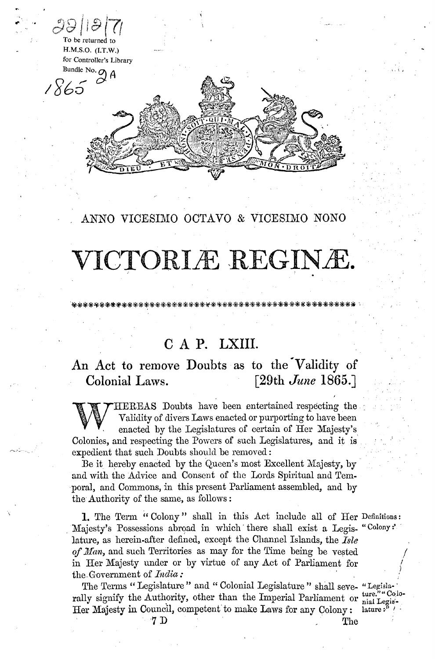To be returned to H.M.S.O. (I.T.W.)

for Controller's Library Bundle No.  $\sigma$ 

 $X65$ 



#### ANNO VICESIMO OCTAVO & VICESIMO NONO

# VICTORIÆ REGINÆ.

## C A P. LXIII.

\*\*\*\*\*\*\*\*\*\*\*\*\*\*\*\*\*\*\*\*\*\*\*\*\*\*\*\*\*\*\*\*\*

An Act to remove Doubts as to the 'Validity of Colonial Laws.  $\qquad \qquad$  [29th *June* 1865.]

HEREAS Doubts have been entertained respecting the Validity of divers Laws enacted or purporting to have been enacted by the Legislatures of certain of Her Majesty's Colonies, and respecting the Powers of such Legislatures, and it is expedient that such Doubts should be removed :

Be it hereby enacted by the Queen's most Excellent Majesty, by and with the Advice and Consent of the Lords Spiritual and Temporal, and Commons, in this present Parliament assembled, and by the Authority of the same, as follows :

1. The Term "Colony" shall in this Act include all of Her Definitions: Majesty's Possessions abroad in which there shall exist a Legis- "Colony: lature, as herein-after defined, except the Channel Islands, the Isle of Man, and such Territories as may for the Time being be vested in Her Majesty under or by virtue of any Act of Parliament for the Government of *India*:

The Terms " Legislature" and " Colonial Legislature" shall seve- "Legislarally signify the Authority, other than the Imperial Parliament or  $\frac{\text{ture." "Colo-}}{\text{rial Legis}}$ Her Majesty in Council, competent to make Laws for any Colony: lature  $\ddot{r}$ 

 $7 \text{ D}$  The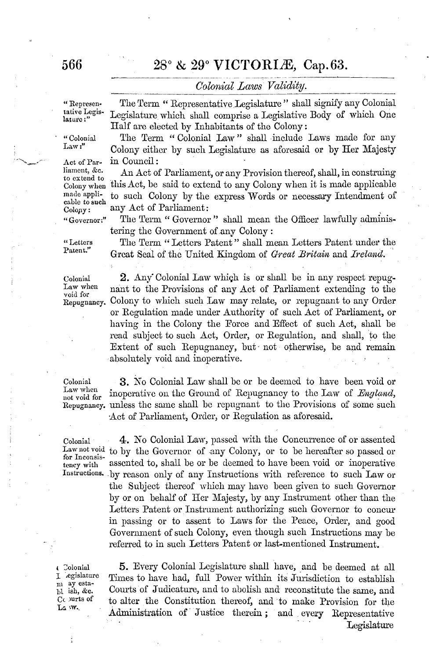### 566 28° & 29° VICTORIÆ, Cap. 63.

#### Colonial Laws Validity.

" Represen The Term " Representative Legislature " shall signify any Colonial tative Legislature:" Legislature which shall comprise a Legislative Body of which One

to extend to Colony when<br>made applicable to such

Colonial for Inconsistency with Instructions.

Half are elected by Inhabitants of the Colony: "Colonial The Term " Colonial Law" shall include Laws made for any Law." Colony oithou by such Logislature as aforesaid on by Hen Mejosty Colony either by such Legislature as aforesaid or by Her Majesty

Act of Par- in Council :<br>
liament, &c. An Act of Parliament, or any Provision thereof, shall, in construing this Act, be said to extend to any Colony when it is made applicable to such Colony by the express Words or necessary Intendment of Colony: any Act of Parliament:

"Governor:" The Term " Governor" shall mean the Officer lawfully administering the Government of any Colony:

"Letters The Term "Letters Patent" shall mean Letters Patent under the Patent." Coast Shall of the Term of Count Patters and Include Great Seal of the United Kingdom of Great Britain and Ireland.

Colonial 2. Any Colonial Law which is or shall be in any respect repug-<br>Law when point to the Provisions of any Act of Parliament extending to the Law when pant to the Provisions of any Act of Parliament extending to the void for Repugnancy. Colony to which such Law may relate, or repugnant to any Order Colony to which such Law may relate, or repugnant to any Order or Regulation made under Authority of such Act of Parliament, or having in the Colony the Force and Effect of such Act, shall be read subject to such Act, Order, or Regulation, and shall, to the Extent of such Repugnancy, but not otherwise, be and remain absolutely void and inoperative.

Colonial 3. No Colonial Law shall be or be deemed to have been void or<br>Law when  $\frac{1}{2}$  contains and be Current of Poursements to the Law of Fundami Law when inoperative on the Ground of Repugnancy to the Law of  $England$ , Repugnancy, unless the same shall be repugnant to the Provisions of some such unless the same shall be repugnant to the Provisions of some such Act of Parliament, Order, or Regulation as aforesaid.

Law not void to by the Governor of any Colony, or to be hereafter so passed or 4. No Colonial Law, passed with the Concurrence of or assented assented to, shall be or be deemed to have been void or inoperative ,by reason only of any Instructions with reference to such Law or the Subject thereof which may have been given to such Governor by or on behalf of Her Majesty, by any Instrument other than the Letters Patent or Instrument authorizing such Governor to concur in passing or to assent to Laws for the Peace, Order, and good Government of such Colony, even though such Instructions may be referred to in such Letters Patent or last-mentioned Instrument.

 $\begin{array}{c} \begin{array}{c} \text{Colonial} \\ \text{I} \end{array} \end{array}$ in ay establ ish, &c. Cc )urts of La .w..

5. Every Colonial Legislature shall have, and be deemed at all Times to have had, full Power within its Jurisdiction to establish Courts of Judicature, and to abolish and reconstitute the same, and to alter the Constitution thereof, and to make Provision for the Administration of' Justice therein; 'and every Representative Legislature